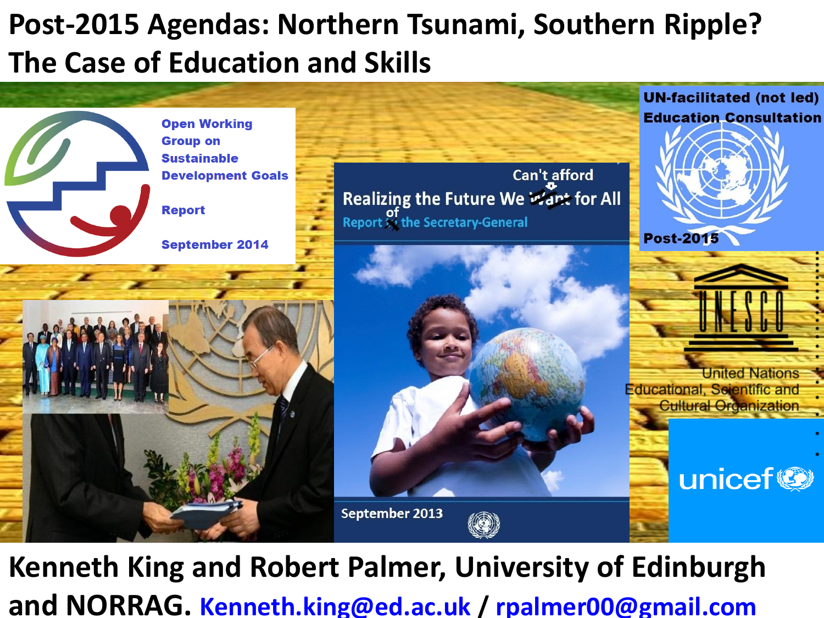#### **Post-2015 Agendas: Northern Tsunami, Southern Ripple? The Case of Education and Skills**



**Kenneth King and Robert Palmer, University of Edinburgh and NORRAG. [Kenneth.king@ed.ac.uk](mailto:Kenneth.king@ed.ac.uk) / [rpalmer00@gmail.com](mailto:rpalmer00@gmail.com)**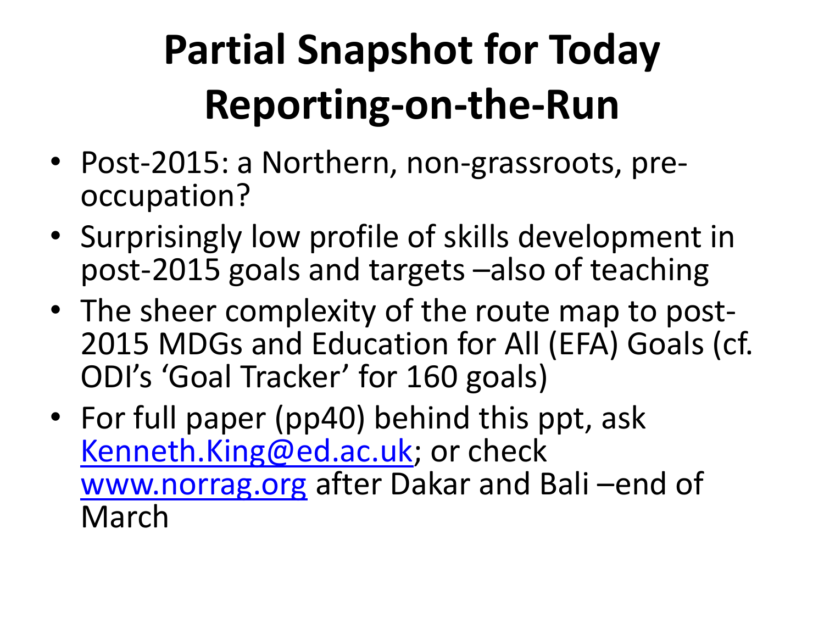## **Partial Snapshot for Today Reporting-on-the-Run**

- Post-2015: a Northern, non-grassroots, preoccupation?
- Surprisingly low profile of skills development in post-2015 goals and targets –also of teaching
- The sheer complexity of the route map to post-2015 MDGs and Education for All (EFA) Goals (cf. ODI's 'Goal Tracker' for 160 goals)
- For full paper (pp40) behind this ppt, ask [Kenneth.King@ed.ac.uk](mailto:Kenneth.King@ed.ac.uk); or check [www.norrag.org](http://www.norrag.org) after Dakar and Bali –end of March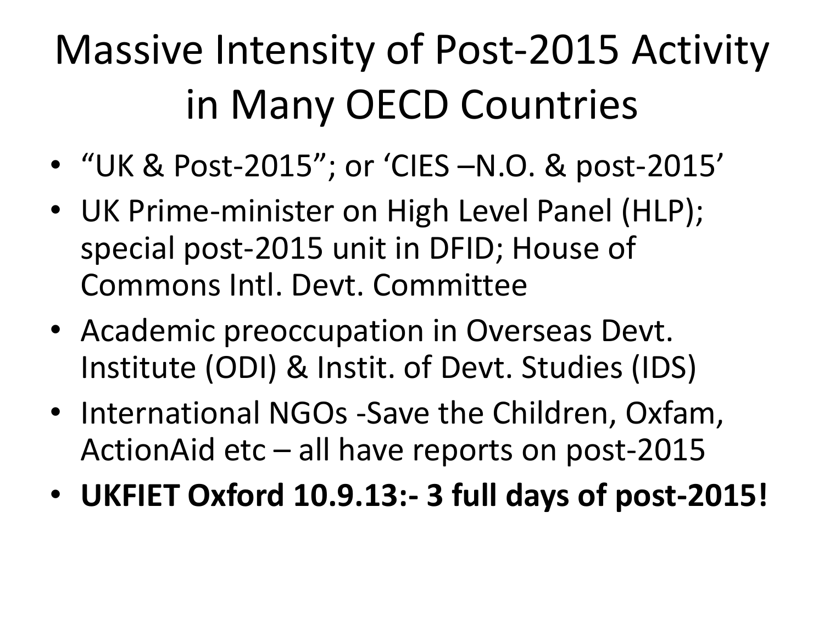## Massive Intensity of Post-2015 Activity in Many OECD Countries

- "UK & Post-2015"; or 'CIES –N.O. & post-2015'
- UK Prime-minister on High Level Panel (HLP); special post-2015 unit in DFID; House of Commons Intl. Devt. Committee
- Academic preoccupation in Overseas Devt. Institute (ODI) & Instit. of Devt. Studies (IDS)
- International NGOs -Save the Children, Oxfam, ActionAid etc – all have reports on post-2015
- **UKFIET Oxford 10.9.13:- 3 full days of post-2015!**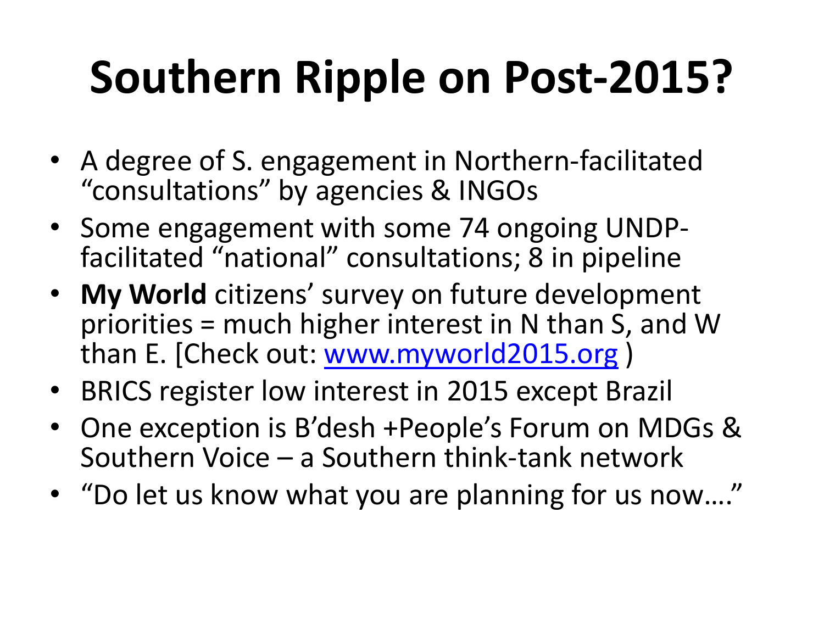## **Southern Ripple on Post-2015?**

- A degree of S. engagement in Northern-facilitated "consultations" by agencies & INGOs
- Some engagement with some 74 ongoing UNDPfacilitated "national" consultations; 8 in pipeline
- **My World** citizens' survey on future development priorities = much higher interest in N than S, and W than E. [Check out: [www.myworld2015.org](http://www.myworld2015.org) )
- BRICS register low interest in 2015 except Brazil
- One exception is B'desh +People's Forum on MDGs & Southern Voice – a Southern think-tank network
- "Do let us know what you are planning for us now…."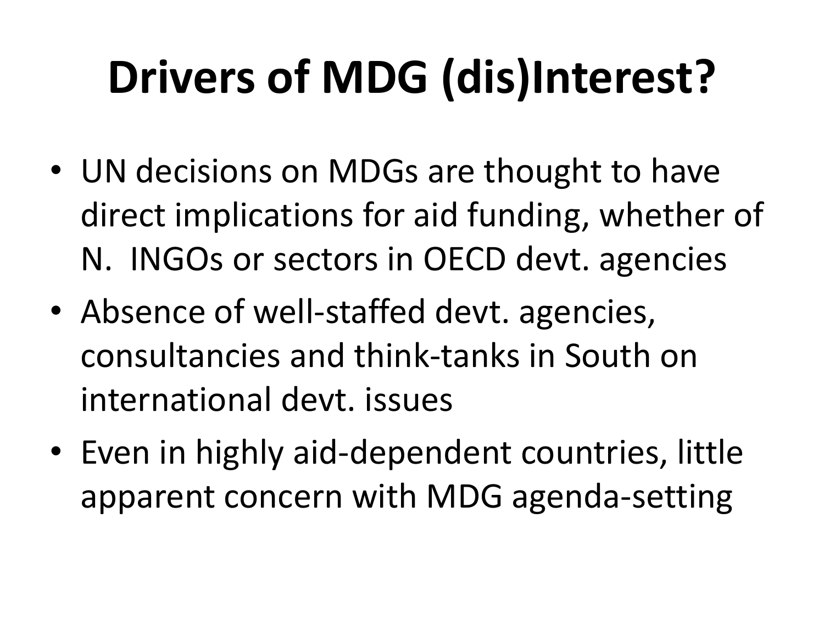# **Drivers of MDG (dis)Interest?**

- UN decisions on MDGs are thought to have direct implications for aid funding, whether of N. INGOs or sectors in OECD devt. agencies
- Absence of well-staffed devt. agencies, consultancies and think-tanks in South on international devt. issues
- Even in highly aid-dependent countries, little apparent concern with MDG agenda-setting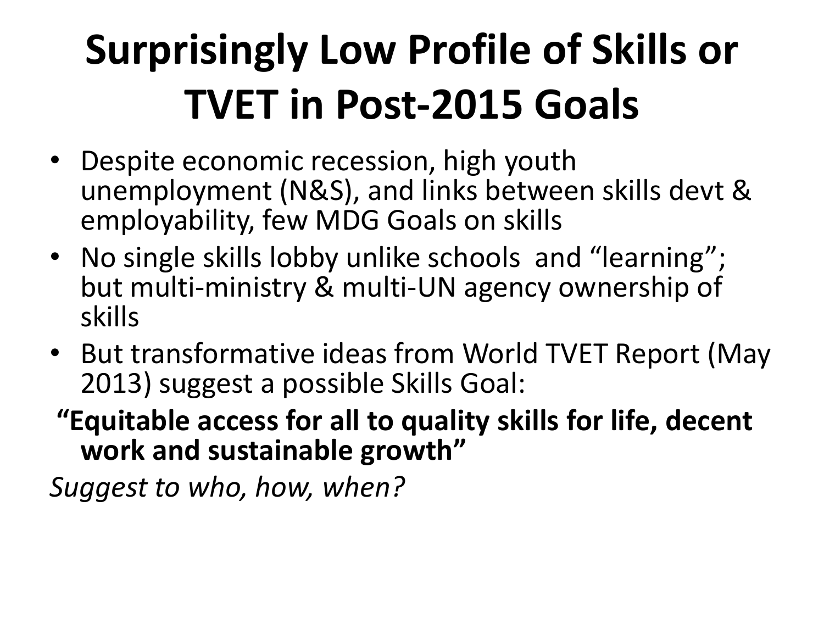## **Surprisingly Low Profile of Skills or TVET in Post-2015 Goals**

- Despite economic recession, high youth unemployment (N&S), and links between skills devt & employability, few MDG Goals on skills
- No single skills lobby unlike schools and "learning"; but multi-ministry & multi-UN agency ownership of skills
- But transformative ideas from World TVET Report (May 2013) suggest a possible Skills Goal:
- **"Equitable access for all to quality skills for life, decent work and sustainable growth"**

*Suggest to who, how, when?*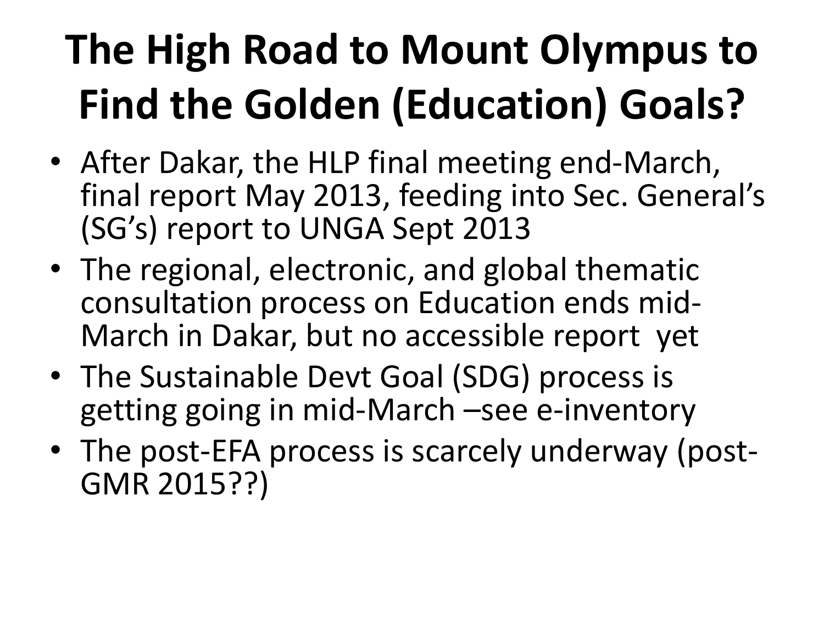## **The High Road to Mount Olympus to Find the Golden (Education) Goals?**

- After Dakar, the HLP final meeting end-March, final report May 2013, feeding into Sec. General's (SG's) report to UNGA Sept 2013
- The regional, electronic, and global thematic consultation process on Education ends mid-March in Dakar, but no accessible report yet
- The Sustainable Devt Goal (SDG) process is getting going in mid-March –see e-inventory
- The post-EFA process is scarcely underway (post-GMR 2015??)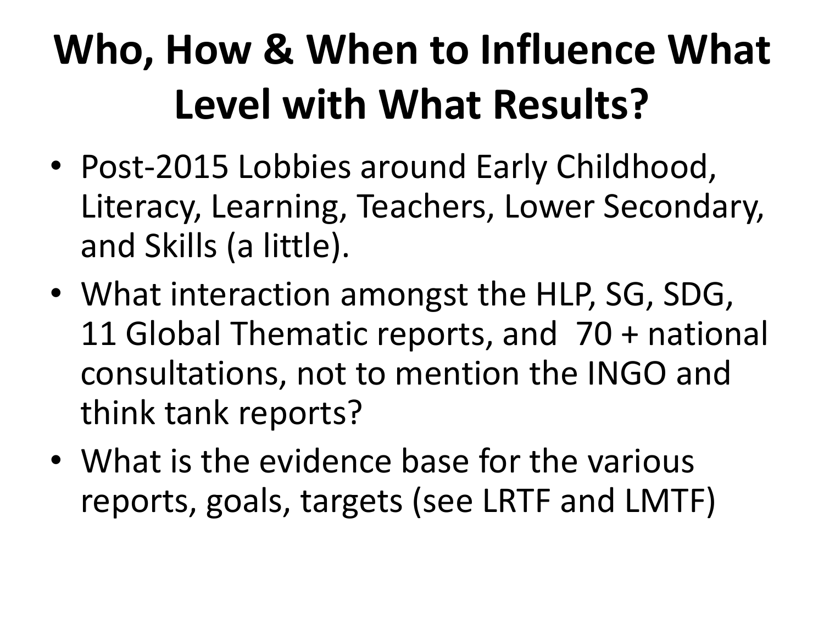## **Who, How & When to Influence What Level with What Results?**

- Post-2015 Lobbies around Early Childhood, Literacy, Learning, Teachers, Lower Secondary, and Skills (a little).
- What interaction amongst the HLP, SG, SDG, 11 Global Thematic reports, and 70 + national consultations, not to mention the INGO and think tank reports?
- What is the evidence base for the various reports, goals, targets (see LRTF and LMTF)